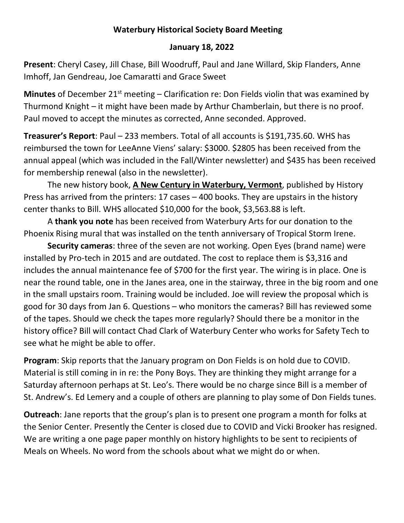## **Waterbury Historical Society Board Meeting**

## **January 18, 2022**

**Present**: Cheryl Casey, Jill Chase, Bill Woodruff, Paul and Jane Willard, Skip Flanders, Anne Imhoff, Jan Gendreau, Joe Camaratti and Grace Sweet

**Minutes** of December 21<sup>st</sup> meeting – Clarification re: Don Fields violin that was examined by Thurmond Knight – it might have been made by Arthur Chamberlain, but there is no proof. Paul moved to accept the minutes as corrected, Anne seconded. Approved.

**Treasurer's Report**: Paul – 233 members. Total of all accounts is \$191,735.60. WHS has reimbursed the town for LeeAnne Viens' salary: \$3000. \$2805 has been received from the annual appeal (which was included in the Fall/Winter newsletter) and \$435 has been received for membership renewal (also in the newsletter).

The new history book, **A New Century in Waterbury, Vermont**, published by History Press has arrived from the printers: 17 cases – 400 books. They are upstairs in the history center thanks to Bill. WHS allocated \$10,000 for the book, \$3,563.88 is left.

A **thank you note** has been received from Waterbury Arts for our donation to the Phoenix Rising mural that was installed on the tenth anniversary of Tropical Storm Irene.

**Security cameras**: three of the seven are not working. Open Eyes (brand name) were installed by Pro-tech in 2015 and are outdated. The cost to replace them is \$3,316 and includes the annual maintenance fee of \$700 for the first year. The wiring is in place. One is near the round table, one in the Janes area, one in the stairway, three in the big room and one in the small upstairs room. Training would be included. Joe will review the proposal which is good for 30 days from Jan 6. Questions – who monitors the cameras? Bill has reviewed some of the tapes. Should we check the tapes more regularly? Should there be a monitor in the history office? Bill will contact Chad Clark of Waterbury Center who works for Safety Tech to see what he might be able to offer.

**Program**: Skip reports that the January program on Don Fields is on hold due to COVID. Material is still coming in in re: the Pony Boys. They are thinking they might arrange for a Saturday afternoon perhaps at St. Leo's. There would be no charge since Bill is a member of St. Andrew's. Ed Lemery and a couple of others are planning to play some of Don Fields tunes.

**Outreach**: Jane reports that the group's plan is to present one program a month for folks at the Senior Center. Presently the Center is closed due to COVID and Vicki Brooker has resigned. We are writing a one page paper monthly on history highlights to be sent to recipients of Meals on Wheels. No word from the schools about what we might do or when.